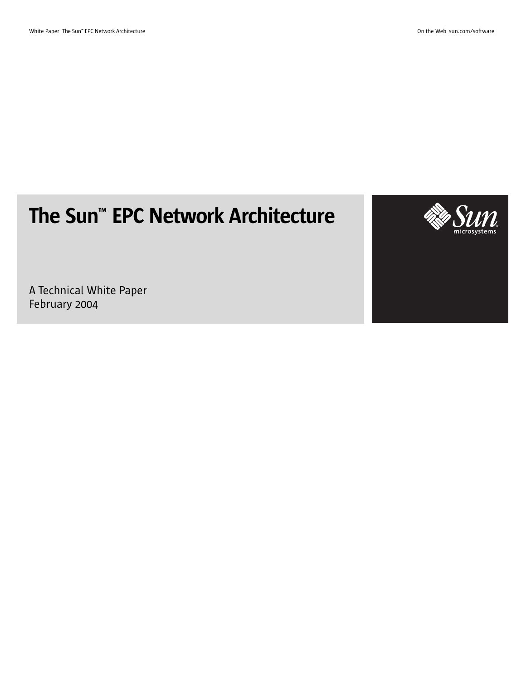# The Sun™ EPC Network Architecture



A Technical White Paper February 2004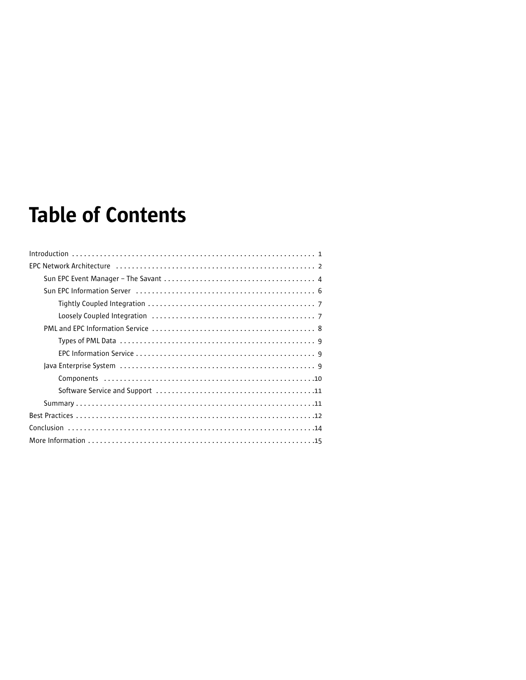# **Table of Contents**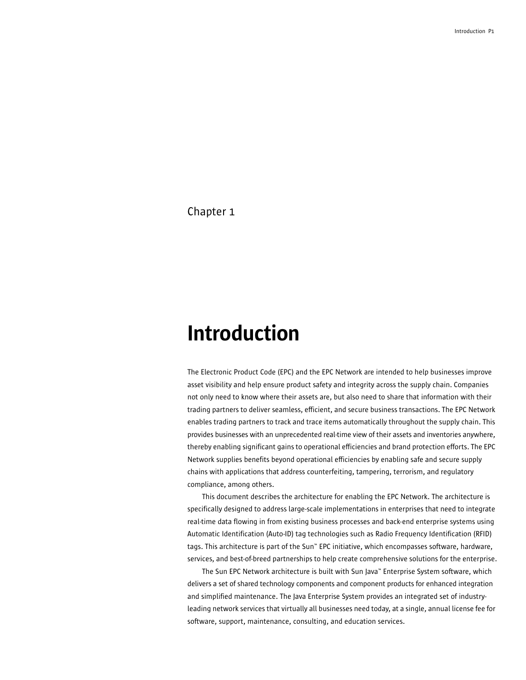# Introduction

The Electronic Product Code (EPC) and the EPC Network are intended to help businesses improve asset visibility and help ensure product safety and integrity across the supply chain. Companies not only need to know where their assets are, but also need to share that information with their trading partners to deliver seamless, efficient, and secure business transactions. The EPC Network enables trading partners to track and trace items automatically throughout the supply chain. This provides businesses with an unprecedented real-time view of their assets and inventories anywhere, thereby enabling significant gains to operational efficiencies and brand protection efforts. The EPC Network supplies benefits beyond operational efficiencies by enabling safe and secure supply chains with applications that address counterfeiting, tampering, terrorism, and regulatory compliance, among others.

This document describes the architecture for enabling the EPC Network. The architecture is specifically designed to address large-scale implementations in enterprises that need to integrate real-time data flowing in from existing business processes and back-end enterprise systems using Automatic Identification (Auto-ID) tag technologies such as Radio Frequency Identification (RFID) tags. This architecture is part of the Sun™ EPC initiative, which encompasses software, hardware, services, and best-of-breed partnerships to help create comprehensive solutions for the enterprise.

The Sun EPC Network architecture is built with Sun Java™ Enterprise System software, which delivers a set of shared technology components and component products for enhanced integration and simplified maintenance. The Java Enterprise System provides an integrated set of industryleading network services that virtually all businesses need today, at a single, annual license fee for software, support, maintenance, consulting, and education services.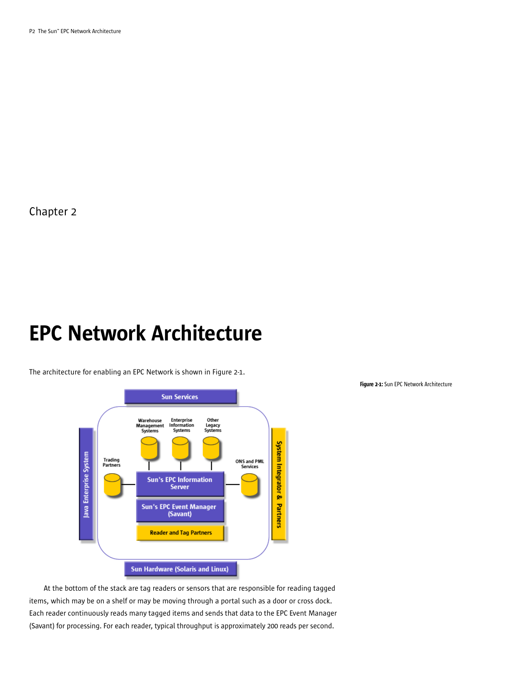# EPC Network Architecture

The architecture for enabling an EPC Network is shown in Figure 2-1.



Figure 2-1: Sun EPC Network Architecture

At the bottom of the stack are tag readers or sensors that are responsible for reading tagged items, which may be on a shelf or may be moving through a portal such as a door or cross dock. Each reader continuously reads many tagged items and sends that data to the EPC Event Manager (Savant) for processing. For each reader, typical throughput is approximately 200 reads per second.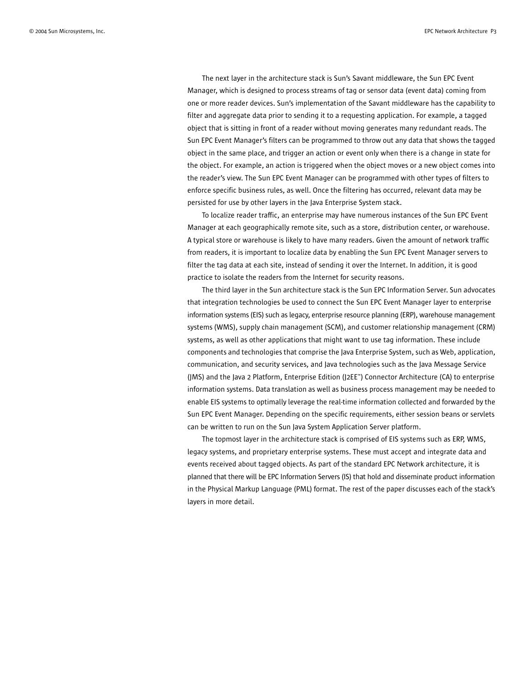The next layer in the architecture stack is Sun's Savant middleware, the Sun EPC Event Manager, which is designed to process streams of tag or sensor data (event data) coming from one or more reader devices. Sun's implementation of the Savant middleware has the capability to filter and aggregate data prior to sending it to a requesting application. For example, a tagged object that is sitting in front of a reader without moving generates many redundant reads. The Sun EPC Event Manager's filters can be programmed to throw out any data that shows the tagged object in the same place, and trigger an action or event only when there is a change in state for the object. For example, an action is triggered when the object moves or a new object comes into the reader's view. The Sun EPC Event Manager can be programmed with other types of filters to enforce specific business rules, as well. Once the filtering has occurred, relevant data may be persisted for use by other layers in the Java Enterprise System stack.

To localize reader traffic, an enterprise may have numerous instances of the Sun EPC Event Manager at each geographically remote site, such as a store, distribution center, or warehouse. A typical store or warehouse is likely to have many readers. Given the amount of network traffic from readers, it is important to localize data by enabling the Sun EPC Event Manager servers to filter the tag data at each site, instead of sending it over the Internet. In addition, it is good practice to isolate the readers from the Internet for security reasons.

The third layer in the Sun architecture stack is the Sun EPC Information Server. Sun advocates that integration technologies be used to connect the Sun EPC Event Manager layer to enterprise information systems (EIS) such as legacy, enterprise resource planning (ERP), warehouse management systems (WMS), supply chain management (SCM), and customer relationship management (CRM) systems, as well as other applications that might want to use tag information. These include components and technologies that comprise the Java Enterprise System, such as Web, application, communication, and security services, and Java technologies such as the Java Message Service (JMS) and the Java 2 Platform, Enterprise Edition (J2EE™) Connector Architecture (CA) to enterprise information systems. Data translation as well as business process management may be needed to enable EIS systems to optimally leverage the real-time information collected and forwarded by the Sun EPC Event Manager. Depending on the specific requirements, either session beans or servlets can be written to run on the Sun Java System Application Server platform.

The topmost layer in the architecture stack is comprised of EIS systems such as ERP, WMS, legacy systems, and proprietary enterprise systems. These must accept and integrate data and events received about tagged objects. As part of the standard EPC Network architecture, it is planned that there will be EPC Information Servers (IS) that hold and disseminate product information in the Physical Markup Language (PML) format. The rest of the paper discusses each of the stack's layers in more detail.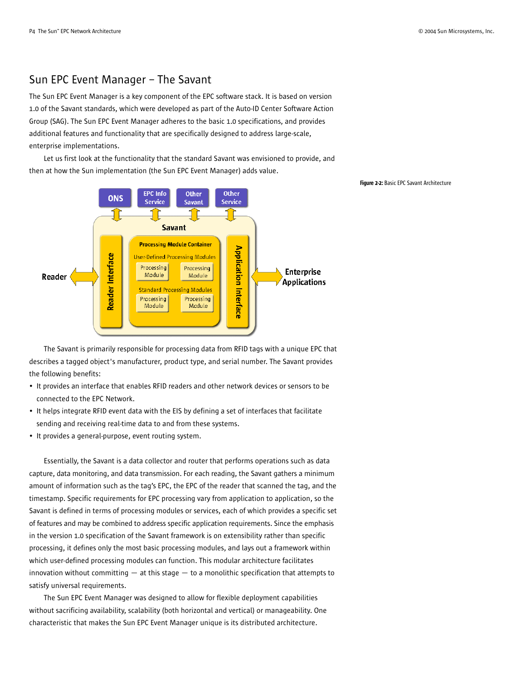## Sun EPC Event Manager – The Savant

The Sun EPC Event Manager is a key component of the EPC software stack. It is based on version 1.0 of the Savant standards, which were developed as part of the Auto-ID Center Software Action Group (SAG). The Sun EPC Event Manager adheres to the basic 1.0 specifications, and provides additional features and functionality that are specifically designed to address large-scale, enterprise implementations.

Let us first look at the functionality that the standard Savant was envisioned to provide, and then at how the Sun implementation (the Sun EPC Event Manager) adds value.



The Savant is primarily responsible for processing data from RFID tags with a unique EPC that describes a tagged object's manufacturer, product type, and serial number. The Savant provides the following benefits:

- It provides an interface that enables RFID readers and other network devices or sensors to be connected to the EPC Network.
- It helps integrate RFID event data with the EIS by defining a set of interfaces that facilitate sending and receiving real-time data to and from these systems.
- It provides a general-purpose, event routing system.

Essentially, the Savant is a data collector and router that performs operations such as data capture, data monitoring, and data transmission. For each reading, the Savant gathers a minimum amount of information such as the tag's EPC, the EPC of the reader that scanned the tag, and the timestamp. Specific requirements for EPC processing vary from application to application, so the Savant is defined in terms of processing modules or services, each of which provides a specific set of features and may be combined to address specific application requirements. Since the emphasis in the version 1.0 specification of the Savant framework is on extensibility rather than specific processing, it defines only the most basic processing modules, and lays out a framework within which user-defined processing modules can function. This modular architecture facilitates innovation without committing  $-$  at this stage  $-$  to a monolithic specification that attempts to satisfy universal requirements.

The Sun EPC Event Manager was designed to allow for flexible deployment capabilities without sacrificing availability, scalability (both horizontal and vertical) or manageability. One characteristic that makes the Sun EPC Event Manager unique is its distributed architecture.

#### Figure 2-2: Basic EPC Savant Architecture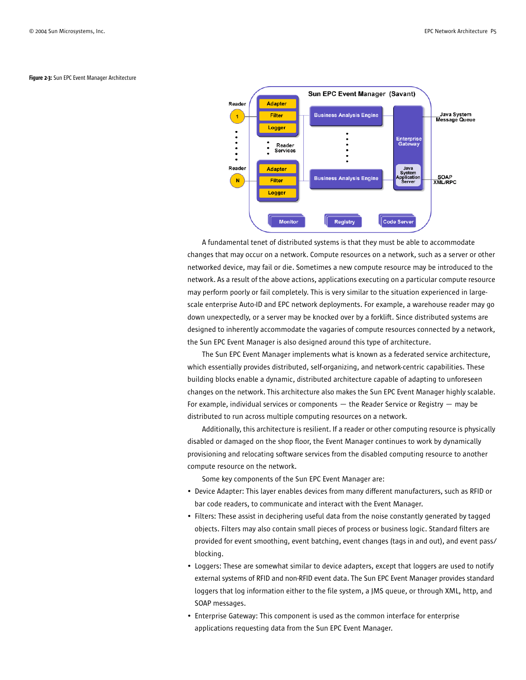

Figure 2-3: Sun EPC Event Manager Architecture

A fundamental tenet of distributed systems is that they must be able to accommodate changes that may occur on a network. Compute resources on a network, such as a server or other networked device, may fail or die. Sometimes a new compute resource may be introduced to the network. As a result of the above actions, applications executing on a particular compute resource may perform poorly or fail completely. This is very similar to the situation experienced in largescale enterprise Auto-ID and EPC network deployments. For example, a warehouse reader may go down unexpectedly, or a server may be knocked over by a forklift. Since distributed systems are designed to inherently accommodate the vagaries of compute resources connected by a network, the Sun EPC Event Manager is also designed around this type of architecture.

The Sun EPC Event Manager implements what is known as a federated service architecture, which essentially provides distributed, self-organizing, and network-centric capabilities. These building blocks enable a dynamic, distributed architecture capable of adapting to unforeseen changes on the network. This architecture also makes the Sun EPC Event Manager highly scalable. For example, individual services or components  $-$  the Reader Service or Registry  $-$  may be distributed to run across multiple computing resources on a network.

Additionally, this architecture is resilient. If a reader or other computing resource is physically disabled or damaged on the shop floor, the Event Manager continues to work by dynamically provisioning and relocating software services from the disabled computing resource to another compute resource on the network.

Some key components of the Sun EPC Event Manager are:

- Device Adapter: This layer enables devices from many different manufacturers, such as RFID or bar code readers, to communicate and interact with the Event Manager.
- Filters: These assist in deciphering useful data from the noise constantly generated by tagged objects. Filters may also contain small pieces of process or business logic. Standard filters are provided for event smoothing, event batching, event changes (tags in and out), and event pass/ blocking.
- Loggers: These are somewhat similar to device adapters, except that loggers are used to notify external systems of RFID and non-RFID event data. The Sun EPC Event Manager provides standard loggers that log information either to the file system, a JMS queue, or through XML, http, and SOAP messages.
- Enterprise Gateway: This component is used as the common interface for enterprise applications requesting data from the Sun EPC Event Manager.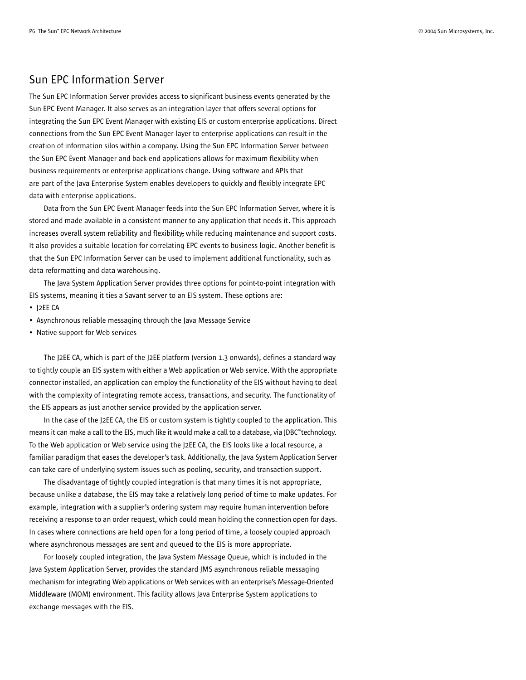## Sun EPC Information Server

The Sun EPC Information Server provides access to significant business events generated by the Sun EPC Event Manager. It also serves as an integration layer that offers several options for integrating the Sun EPC Event Manager with existing EIS or custom enterprise applications. Direct connections from the Sun EPC Event Manager layer to enterprise applications can result in the creation of information silos within a company. Using the Sun EPC Information Server between the Sun EPC Event Manager and back-end applications allows for maximum flexibility when business requirements or enterprise applications change. Using software and APIs that are part of the Java Enterprise System enables developers to quickly and flexibly integrate EPC data with enterprise applications.

Data from the Sun EPC Event Manager feeds into the Sun EPC Information Server, where it is stored and made available in a consistent manner to any application that needs it. This approach increases overall system reliability and flexibility, while reducing maintenance and support costs. It also provides a suitable location for correlating EPC events to business logic. Another benefit is that the Sun EPC Information Server can be used to implement additional functionality, such as data reformatting and data warehousing.

The Java System Application Server provides three options for point-to-point integration with EIS systems, meaning it ties a Savant server to an EIS system. These options are:

- J2EE CA
- Asynchronous reliable messaging through the Java Message Service
- Native support for Web services

The J2EE CA, which is part of the J2EE platform (version 1.3 onwards), defines a standard way to tightly couple an EIS system with either a Web application or Web service. With the appropriate connector installed, an application can employ the functionality of the EIS without having to deal with the complexity of integrating remote access, transactions, and security. The functionality of the EIS appears as just another service provided by the application server.

In the case of the J2EE CA, the EIS or custom system is tightly coupled to the application. This means it can make a call to the EIS, much like it would make a call to a database, via JDBC™technology. To the Web application or Web service using the J2EE CA, the EIS looks like a local resource, a familiar paradigm that eases the developer's task. Additionally, the Java System Application Server can take care of underlying system issues such as pooling, security, and transaction support.

The disadvantage of tightly coupled integration is that many times it is not appropriate, because unlike a database, the EIS may take a relatively long period of time to make updates. For example, integration with a supplier's ordering system may require human intervention before receiving a response to an order request, which could mean holding the connection open for days. In cases where connections are held open for a long period of time, a loosely coupled approach where asynchronous messages are sent and queued to the EIS is more appropriate.

For loosely coupled integration, the Java System Message Queue, which is included in the Java System Application Server, provides the standard JMS asynchronous reliable messaging mechanism for integrating Web applications or Web services with an enterprise's Message-Oriented Middleware (MOM) environment. This facility allows Java Enterprise System applications to exchange messages with the EIS.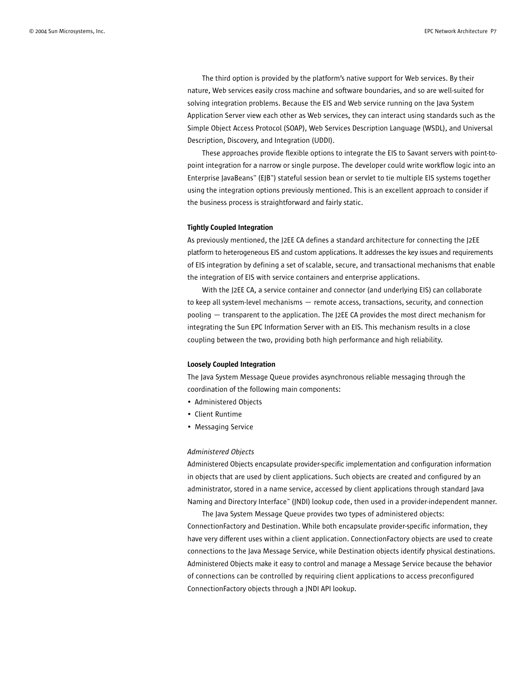The third option is provided by the platform's native support for Web services. By their nature, Web services easily cross machine and software boundaries, and so are well-suited for solving integration problems. Because the EIS and Web service running on the Java System Application Server view each other as Web services, they can interact using standards such as the Simple Object Access Protocol (SOAP), Web Services Description Language (WSDL), and Universal Description, Discovery, and Integration (UDDI).

These approaches provide flexible options to integrate the EIS to Savant servers with point-topoint integration for a narrow or single purpose. The developer could write workflow logic into an Enterprise JavaBeans™ (EJB™) stateful session bean or servlet to tie multiple EIS systems together using the integration options previously mentioned. This is an excellent approach to consider if the business process is straightforward and fairly static.

#### Tightly Coupled Integration

As previously mentioned, the J2EE CA defines a standard architecture for connecting the J2EE platform to heterogeneous EIS and custom applications. It addresses the key issues and requirements of EIS integration by defining a set of scalable, secure, and transactional mechanisms that enable the integration of EIS with service containers and enterprise applications.

With the J2EE CA, a service container and connector (and underlying EIS) can collaborate to keep all system-level mechanisms — remote access, transactions, security, and connection pooling — transparent to the application. The J2EE CA provides the most direct mechanism for integrating the Sun EPC Information Server with an EIS. This mechanism results in a close coupling between the two, providing both high performance and high reliability.

#### Loosely Coupled Integration

The Java System Message Queue provides asynchronous reliable messaging through the coordination of the following main components:

- Administered Objects
- Client Runtime
- Messaging Service

### *Administered Objects*

Administered Objects encapsulate provider-specific implementation and configuration information in objects that are used by client applications. Such objects are created and configured by an administrator, stored in a name service, accessed by client applications through standard Java Naming and Directory Interface™ (JNDI) lookup code, then used in a provider-independent manner.

The Java System Message Queue provides two types of administered objects: ConnectionFactory and Destination. While both encapsulate provider-specific information, they have very different uses within a client application. ConnectionFactory objects are used to create connections to the Java Message Service, while Destination objects identify physical destinations. Administered Objects make it easy to control and manage a Message Service because the behavior of connections can be controlled by requiring client applications to access preconfigured ConnectionFactory objects through a JNDI API lookup.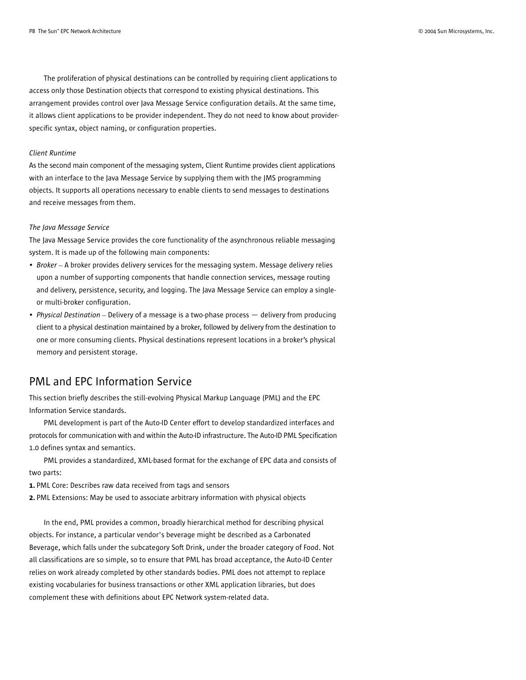The proliferation of physical destinations can be controlled by requiring client applications to access only those Destination objects that correspond to existing physical destinations. This arrangement provides control over Java Message Service configuration details. At the same time, it allows client applications to be provider independent. They do not need to know about providerspecific syntax, object naming, or configuration properties.

### *Client Runtime*

As the second main component of the messaging system, Client Runtime provides client applications with an interface to the Java Message Service by supplying them with the JMS programming objects. It supports all operations necessary to enable clients to send messages to destinations and receive messages from them.

#### *The Java Message Service*

The Java Message Service provides the core functionality of the asynchronous reliable messaging system. It is made up of the following main components:

- *Broker* A broker provides delivery services for the messaging system. Message delivery relies upon a number of supporting components that handle connection services, message routing and delivery, persistence, security, and logging. The Java Message Service can employ a singleor multi-broker configuration.
- *Physical Destination* Delivery of a message is a two-phase process delivery from producing client to a physical destination maintained by a broker, followed by delivery from the destination to one or more consuming clients. Physical destinations represent locations in a broker's physical memory and persistent storage.

## PML and EPC Information Service

This section briefly describes the still-evolving Physical Markup Language (PML) and the EPC Information Service standards.

PML development is part of the Auto-ID Center effort to develop standardized interfaces and protocols for communication with and within the Auto-ID infrastructure. The Auto-ID PML Specification 1.0 defines syntax and semantics.

PML provides a standardized, XML-based format for the exchange of EPC data and consists of two parts:

1. PML Core: Describes raw data received from tags and sensors

2. PML Extensions: May be used to associate arbitrary information with physical objects

In the end, PML provides a common, broadly hierarchical method for describing physical objects. For instance, a particular vendor's beverage might be described as a Carbonated Beverage, which falls under the subcategory Soft Drink, under the broader category of Food. Not all classifications are so simple, so to ensure that PML has broad acceptance, the Auto-ID Center relies on work already completed by other standards bodies. PML does not attempt to replace existing vocabularies for business transactions or other XML application libraries, but does complement these with definitions about EPC Network system-related data.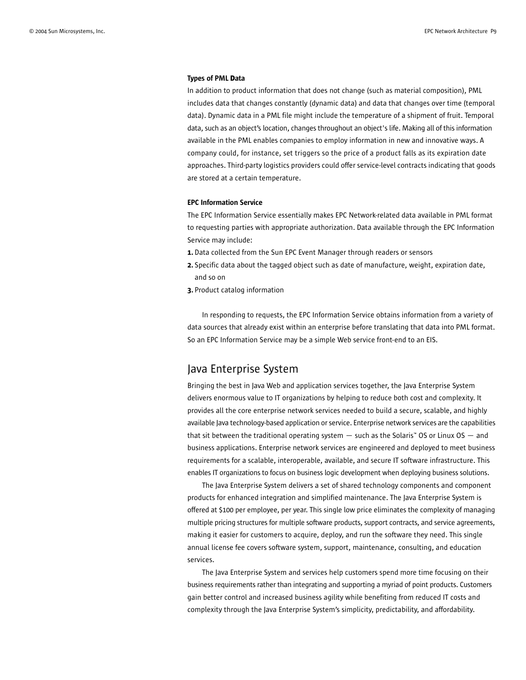#### Types of PML **D**ata

In addition to product information that does not change (such as material composition), PML includes data that changes constantly (dynamic data) and data that changes over time (temporal data). Dynamic data in a PML file might include the temperature of a shipment of fruit. Temporal data, such as an object's location, changes throughout an object's life. Making all of this information available in the PML enables companies to employ information in new and innovative ways. A company could, for instance, set triggers so the price of a product falls as its expiration date approaches. Third-party logistics providers could offer service-level contracts indicating that goods are stored at a certain temperature.

### EPC Information Service

The EPC Information Service essentially makes EPC Network-related data available in PML format to requesting parties with appropriate authorization. Data available through the EPC Information Service may include:

- 1. Data collected from the Sun EPC Event Manager through readers or sensors
- 2. Specific data about the tagged object such as date of manufacture, weight, expiration date, and so on
- 3. Product catalog information

In responding to requests, the EPC Information Service obtains information from a variety of data sources that already exist within an enterprise before translating that data into PML format. So an EPC Information Service may be a simple Web service front-end to an EIS.

## Java Enterprise System

Bringing the best in Java Web and application services together, the Java Enterprise System delivers enormous value to IT organizations by helping to reduce both cost and complexity. It provides all the core enterprise network services needed to build a secure, scalable, and highly available Java technology-based application or service. Enterprise network services are the capabilities that sit between the traditional operating system  $-$  such as the Solaris™ OS or Linux OS  $-$  and business applications. Enterprise network services are engineered and deployed to meet business requirements for a scalable, interoperable, available, and secure IT software infrastructure. This enables IT organizations to focus on business logic development when deploying business solutions.

The Java Enterprise System delivers a set of shared technology components and component products for enhanced integration and simplified maintenance. The Java Enterprise System is offered at \$100 per employee, per year. This single low price eliminates the complexity of managing multiple pricing structures for multiple software products, support contracts, and service agreements, making it easier for customers to acquire, deploy, and run the software they need. This single annual license fee covers software system, support, maintenance, consulting, and education services.

The Java Enterprise System and services help customers spend more time focusing on their business requirements rather than integrating and supporting a myriad of point products. Customers gain better control and increased business agility while benefiting from reduced IT costs and complexity through the Java Enterprise System's simplicity, predictability, and affordability.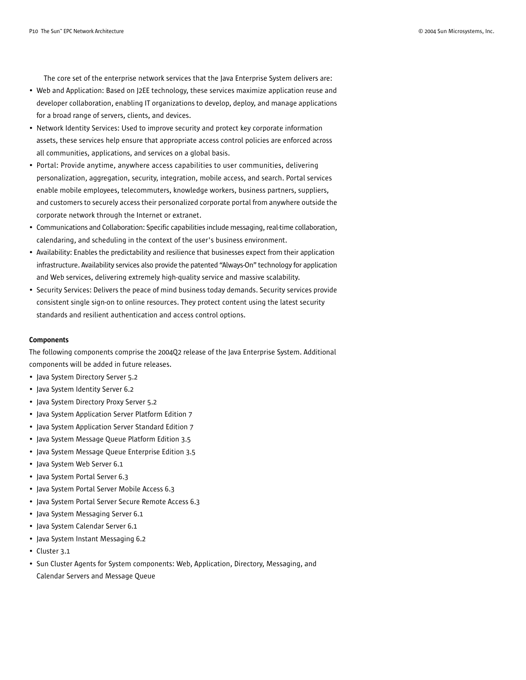The core set of the enterprise network services that the Java Enterprise System delivers are:

- Web and Application: Based on J2EE technology, these services maximize application reuse and developer collaboration, enabling IT organizations to develop, deploy, and manage applications for a broad range of servers, clients, and devices.
- Network Identity Services: Used to improve security and protect key corporate information assets, these services help ensure that appropriate access control policies are enforced across all communities, applications, and services on a global basis.
- Portal: Provide anytime, anywhere access capabilities to user communities, delivering personalization, aggregation, security, integration, mobile access, and search. Portal services enable mobile employees, telecommuters, knowledge workers, business partners, suppliers, and customers to securely access their personalized corporate portal from anywhere outside the corporate network through the Internet or extranet.
- Communications and Collaboration: Specific capabilities include messaging, real-time collaboration, calendaring, and scheduling in the context of the user's business environment.
- Availability: Enables the predictability and resilience that businesses expect from their application infrastructure. Availability services also provide the patented "Always-On" technology for application and Web services, delivering extremely high-quality service and massive scalability.
- Security Services: Delivers the peace of mind business today demands. Security services provide consistent single sign-on to online resources. They protect content using the latest security standards and resilient authentication and access control options.

### **Components**

The following components comprise the 2004Q2 release of the Java Enterprise System. Additional components will be added in future releases.

- Java System Directory Server 5.2
- Java System Identity Server 6.2
- Java System Directory Proxy Server 5.2
- Java System Application Server Platform Edition 7
- Java System Application Server Standard Edition 7
- Java System Message Queue Platform Edition 3.5
- Java System Message Queue Enterprise Edition 3.5
- Java System Web Server 6.1
- Java System Portal Server 6.3
- Java System Portal Server Mobile Access 6.3
- Java System Portal Server Secure Remote Access 6.3
- Java System Messaging Server 6.1
- Java System Calendar Server 6.1
- Java System Instant Messaging 6.2
- Cluster 3.1
- Sun Cluster Agents for System components: Web, Application, Directory, Messaging, and Calendar Servers and Message Queue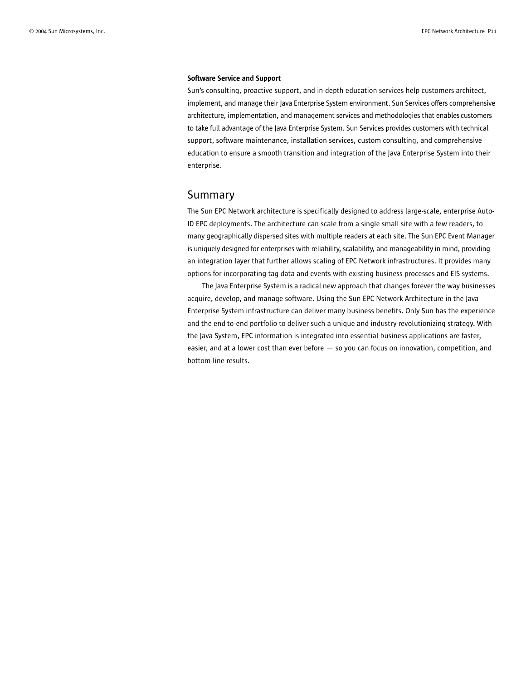#### Software Service and Support

Sun's consulting, proactive support, and in-depth education services help customers architect, implement, and manage their Java Enterprise System environment. Sun Services offers comprehensive architecture, implementation, and management services and methodologies that enables customers to take full advantage of the Java Enterprise System. Sun Services provides customers with technical support, software maintenance, installation services, custom consulting, and comprehensive education to ensure a smooth transition and integration of the Java Enterprise System into their enterprise.

### Summary

The Sun EPC Network architecture is specifically designed to address large-scale, enterprise Auto-ID EPC deployments. The architecture can scale from a single small site with a few readers, to many geographically dispersed sites with multiple readers at each site. The Sun EPC Event Manager is uniquely designed for enterprises with reliability, scalability, and manageability in mind, providing an integration layer that further allows scaling of EPC Network infrastructures. It provides many options for incorporating tag data and events with existing business processes and EIS systems.

The Java Enterprise System is a radical new approach that changes forever the way businesses acquire, develop, and manage software. Using the Sun EPC Network Architecture in the Java Enterprise System infrastructure can deliver many business benefits. Only Sun has the experience and the end-to-end portfolio to deliver such a unique and industry-revolutionizing strategy. With the Java System, EPC information is integrated into essential business applications are faster, easier, and at a lower cost than ever before — so you can focus on innovation, competition, and bottom-line results.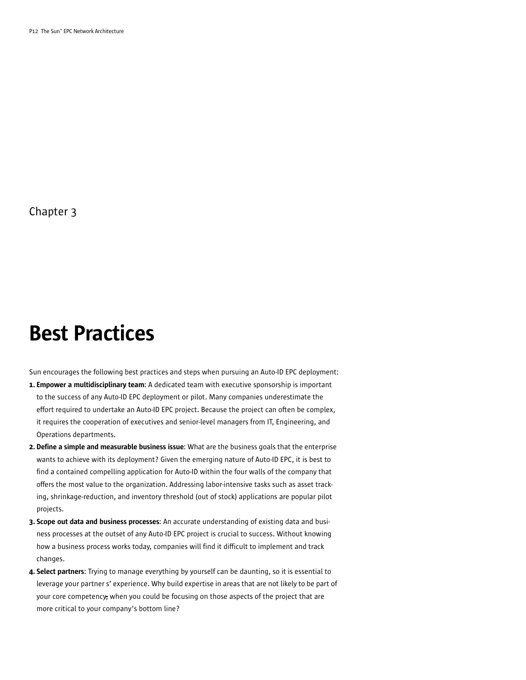## Best Practices

Sun encourages the following best practices and steps when pursuing an Auto-ID EPC deployment:

- 1. Empower a multidisciplinary team: A dedicated team with executive sponsorship is important to the success of any Auto-ID EPC deployment or pilot. Many companies underestimate the effort required to undertake an Auto-ID EPC project. Because the project can often be complex, it requires the cooperation of executives and senior-level managers from IT, Engineering, and Operations departments.
- 2. Define a simple and measurable business issue: What are the business goals that the enterprise wants to achieve with its deployment? Given the emerging nature of Auto-ID EPC, it is best to find a contained compelling application for Auto-ID within the four walls of the company that offers the most value to the organization. Addressing labor-intensive tasks such as asset tracking, shrinkage-reduction, and inventory threshold (out of stock) applications are popular pilot projects.
- 3. Scope out data and business processes: An accurate understanding of existing data and business processes at the outset of any Auto-ID EPC project is crucial to success. Without knowing how a business process works today, companies will find it difficult to implement and track changes.
- 4. Select partners: Trying to manage everything by yourself can be daunting, so it is essential to leverage your partner s' experience. Why build expertise in areas that are not likely to be part of your core competency, when you could be focusing on those aspects of the project that are more critical to your company's bottom line?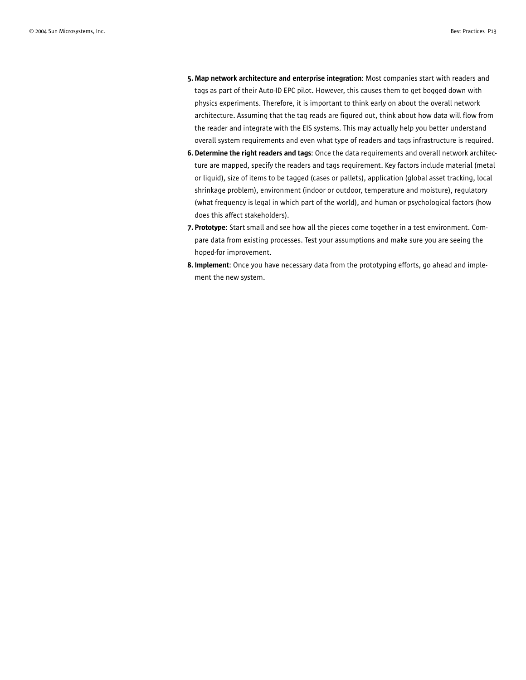- 5. Map network architecture and enterprise integration: Most companies start with readers and tags as part of their Auto-ID EPC pilot. However, this causes them to get bogged down with physics experiments. Therefore, it is important to think early on about the overall network architecture. Assuming that the tag reads are figured out, think about how data will flow from the reader and integrate with the EIS systems. This may actually help you better understand overall system requirements and even what type of readers and tags infrastructure is required.
- 6. Determine the right readers and tags: Once the data requirements and overall network architecture are mapped, specify the readers and tags requirement. Key factors include material (metal or liquid), size of items to be tagged (cases or pallets), application (global asset tracking, local shrinkage problem), environment (indoor or outdoor, temperature and moisture), regulatory (what frequency is legal in which part of the world), and human or psychological factors (how does this affect stakeholders).
- 7. Prototype: Start small and see how all the pieces come together in a test environment. Compare data from existing processes. Test your assumptions and make sure you are seeing the hoped-for improvement.
- 8. Implement: Once you have necessary data from the prototyping efforts, go ahead and implement the new system.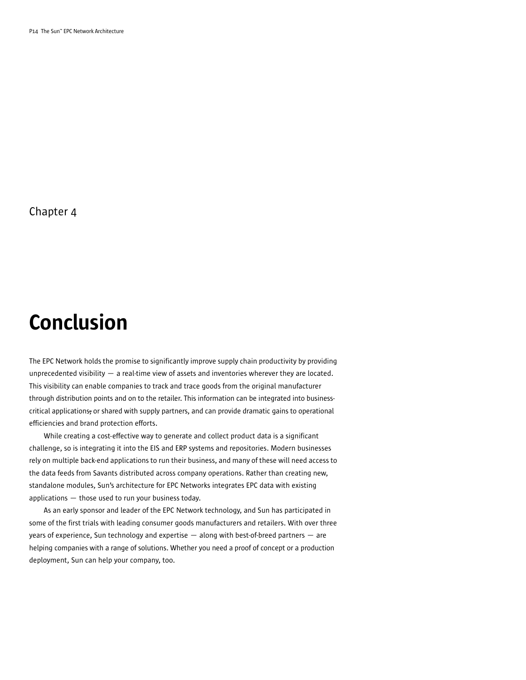## Conclusion

The EPC Network holds the promise to significantly improve supply chain productivity by providing unprecedented visibility — a real-time view of assets and inventories wherever they are located. This visibility can enable companies to track and trace goods from the original manufacturer through distribution points and on to the retailer. This information can be integrated into businesscritical applications, or shared with supply partners, and can provide dramatic gains to operational efficiencies and brand protection efforts.

While creating a cost-effective way to generate and collect product data is a significant challenge, so is integrating it into the EIS and ERP systems and repositories. Modern businesses rely on multiple back-end applications to run their business, and many of these will need access to the data feeds from Savants distributed across company operations. Rather than creating new, standalone modules, Sun's architecture for EPC Networks integrates EPC data with existing applications  $-$  those used to run your business today.

As an early sponsor and leader of the EPC Network technology, and Sun has participated in some of the first trials with leading consumer goods manufacturers and retailers. With over three years of experience, Sun technology and expertise — along with best-of-breed partners — are helping companies with a range of solutions. Whether you need a proof of concept or a production deployment, Sun can help your company, too.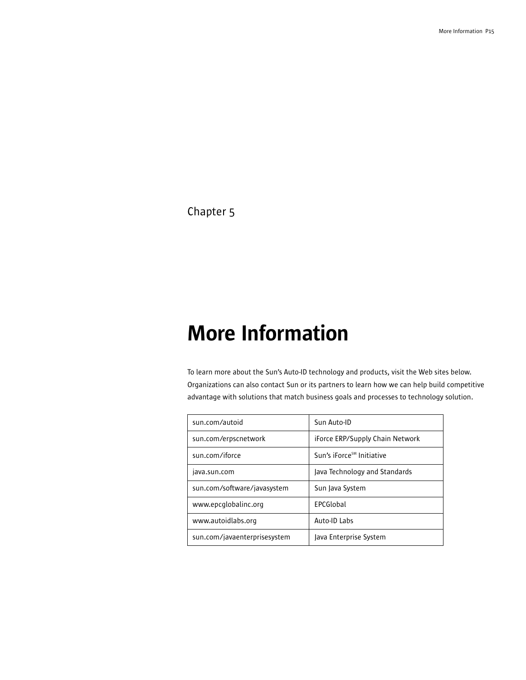# More Information

To learn more about the Sun's Auto-ID technology and products, visit the Web sites below. Organizations can also contact Sun or its partners to learn how we can help build competitive advantage with solutions that match business goals and processes to technology solution.

| sun.com/autoid               | Sun Auto-ID                           |
|------------------------------|---------------------------------------|
| sun.com/erpscnetwork         | iForce ERP/Supply Chain Network       |
| sun.com/iforce               | Sun's iForce <sup>s™</sup> Initiative |
| java.sun.com                 | Java Technology and Standards         |
| sun.com/software/javasystem  | Sun Java System                       |
| www.epcglobalinc.org         | <b>FPCGlobal</b>                      |
| www.autoidlabs.org           | Auto-ID Labs                          |
| sun.com/javaenterprisesystem | Java Enterprise System                |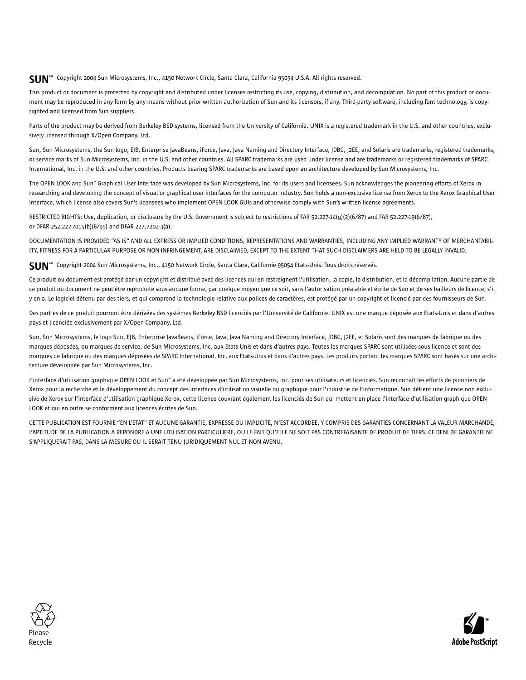## $\mathsf{SUM}^{\mathsf{m}}$  Copyright 2004 Sun Microsystems, Inc., 4150 Network Circle, Santa Clara, California 95054 U.S.A. All rights reserved.

This product or document is protected by copyright and distributed under licenses restricting its use, copying, distribution, and decompilation. No part of this product or document may be reproduced in any form by any means without prior written authorization of Sun and its licensors, if any. Third-party software, including font technology, is copyrighted and licensed from Sun suppliers.

Parts of the product may be derived from Berkeley BSD systems, licensed from the University of California. UNIX is a registered trademark in the U.S. and other countries, exclusively licensed through X/Open Company, Ltd.

Sun, Sun Microsystems, the Sun logo, EJB, Enterprise JavaBeans, iForce, Java, Java Naming and Directory Interface, JDBC, J2EE, and Solaris are trademarks, registered trademarks, or service marks of Sun Microsystems, Inc. in the U.S. and other countries. All SPARC trademarks are used under license and are trademarks or registered trademarks of SPARC International, Inc. in the U.S. and other countries. Products bearing SPARC trademarks are based upon an architecture developed by Sun Microsystems, Inc.

The OPEN LOOK and Sun™ Graphical User Interface was developed by Sun Microsystems, Inc. for its users and licensees. Sun acknowledges the pioneering efforts of Xerox in researching and developing the concept of visual or graphical user interfaces for the computer industry. Sun holds a non-exclusive license from Xerox to the Xerox Graphical User Interface, which license also covers Sun's licensees who implement OPEN LOOK GUIs and otherwise comply with Sun's written license agreements.

RESTRICTED RIGHTS: Use, duplication, or disclosure by the U.S. Government is subject to restrictions of FAR 52.227-14(g)(2)(6/87) and FAR 52.227-19(6/87), or DFAR 252.227-7015(b)(6/95) and DFAR 227.7202-3(a).

DOCUMENTATION IS PROVIDED "AS IS" AND ALL EXPRESS OR IMPLIED CONDITIONS, REPRESENTATIONS AND WARRANTIES, INCLUDING ANY IMPLIED WARRANTY OF MERCHANTABIL-ITY, FITNESS FOR A PARTICULAR PURPOSE OR NON-INFRINGEMENT, ARE DISCLAIMED, EXCEPT TO THE EXTENT THAT SUCH DISCLAIMERS ARE HELD TO BE LEGALLY INVALID.

SUN™ Copyright 2004 Sun Microsystems, Inc., 4150 Network Circle, Santa Clara, Californie 95054 Etats-Unis. Tous droits réservés.

Ce produit ou document est protégé par un copyright et distribué avec des licences qui en restreignent l'utilisation, la copie, la distribution, et la décompilation. Aucune partie de ce produit ou document ne peut être reproduite sous aucune forme, par quelque moyen que ce soit, sans l'autorisation préalable et écrite de Sun et de ses bailleurs de licence, s'il y en a. Le logiciel détenu par des tiers, et qui comprend la technologie relative aux polices de caractères, est protégé par un copyright et licencié par des fournisseurs de Sun.

Des parties de ce produit pourront être dérivées des systèmes Berkeley BSD licenciés par l'Université de Californie. UNIX est une marque déposée aux Etats-Unis et dans d'autres pays et licenciée exclusivement par X/Open Company, Ltd.

Sun, Sun Microsystems, le logo Sun, EJB, Enterprise JavaBeans, iForce, Java, Java Naming and Directory Interface, JDBC, J2EE, et Solaris sont des marques de fabrique ou des marques déposées, ou marques de service, de Sun Microsystems, Inc. aux Etats-Unis et dans d'autres pays. Toutes les marques SPARC sont utilisées sous licence et sont des marques de fabrique ou des marques déposées de SPARC International, Inc. aux Etats-Unis et dans d'autres pays. Les produits portant les marques SPARC sont basés sur une architecture développée par Sun Microsystems, Inc.

L'interface d'utilisation graphique OPEN LOOK et Sun™ a été développée par Sun Microsystems, Inc. pour ses utilisateurs et licenciés. Sun reconnaît les efforts de pionniers de Xerox pour la recherche et le développement du concept des interfaces d'utilisation visuelle ou graphique pour l'industrie de l'informatique. Sun détient une licence non exclusive de Xerox sur l'interface d'utilisation graphique Xerox, cette licence couvrant également les licenciés de Sun qui mettent en place l'interface d'utilisation graphique OPEN LOOK et qui en outre se conforment aux licences écrites de Sun.

CETTE PUBLICATION EST FOURNIE "EN L'ETAT" ET AUCUNE GARANTIE, EXPRESSE OU IMPLICITE, N'EST ACCORDEE, Y COMPRIS DES GARANTIES CONCERNANT LA VALEUR MARCHANDE, L'APTITUDE DE LA PUBLICATION A REPONDRE A UNE UTILISATION PARTICULIERE, OU LE FAIT QU'ELLE NE SOIT PAS CONTREFAISANTE DE PRODUIT DE TIERS. CE DENI DE GARANTIE NE S'APPLIQUERAIT PAS, DANS LA MESURE OU IL SERAIT TENU JURIDIQUEMENT NUL ET NON AVENU.